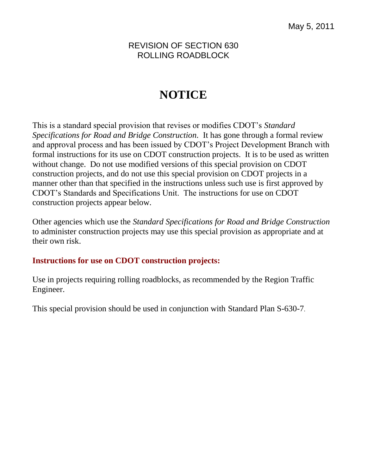REVISION OF SECTION 630 ROLLING ROADBLOCK

# **NOTICE**

This is a standard special provision that revises or modifies CDOT's *Standard Specifications for Road and Bridge Construction.* It has gone through a formal review and approval process and has been issued by CDOT's Project Development Branch with formal instructions for its use on CDOT construction projects. It is to be used as written without change. Do not use modified versions of this special provision on CDOT construction projects, and do not use this special provision on CDOT projects in a manner other than that specified in the instructions unless such use is first approved by CDOT's Standards and Specifications Unit. The instructions for use on CDOT construction projects appear below.

Other agencies which use the *Standard Specifications for Road and Bridge Construction* to administer construction projects may use this special provision as appropriate and at their own risk.

# **Instructions for use on CDOT construction projects:**

Use in projects requiring rolling roadblocks, as recommended by the Region Traffic Engineer.

This special provision should be used in conjunction with Standard Plan S-630-7.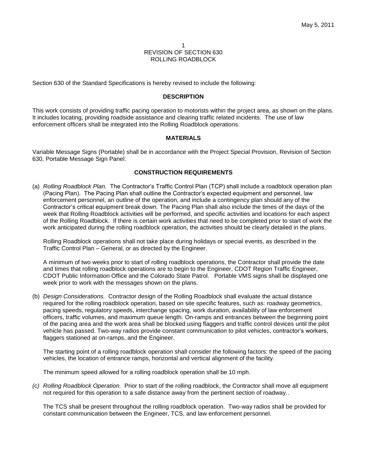#### 1 REVISION OF SECTION 630 ROLLING ROADBLOCK

Section 630 of the Standard Specifications is hereby revised to include the following:

#### **DESCRIPTION**

This work consists of providing traffic pacing operation to motorists within the project area, as shown on the plans. It includes locating, providing roadside assistance and clearing traffic related incidents. The use of law enforcement officers shall be integrated into the Rolling Roadblock operations.

## **MATERIALS**

Variable Message Signs (Portable) shall be in accordance with the Project Special Provision, Revision of Section 630, Portable Message Sign Panel.

## **CONSTRUCTION REQUIREMENTS**

(a) *Rolling Roadblock Plan.* The Contractor's Traffic Control Plan (TCP) shall include a roadblock operation plan (Pacing Plan). The Pacing Plan shall outline the Contractor's expected equipment and personnel, law enforcement personnel, an outline of the operation, and include a contingency plan should any of the Contractor's critical equipment break down. The Pacing Plan shall also include the times of the days of the week that Rolling Roadblock activities will be performed, and specific activities and locations for each aspect of the Rolling Roadblock. If there is certain work activities that need to be completed prior to start of work the work anticipated during the rolling roadblock operation, the activities should be clearly detailed in the plans.

Rolling Roadblock operations shall not take place during holidays or special events, as described in the Traffic Control Plan – General, or as directed by the Engineer.

A minimum of two weeks prior to start of rolling roadblock operations, the Contractor shall provide the date and times that rolling roadblock operations are to begin to the Engineer, CDOT Region Traffic Engineer, CDOT Public Information Office and the Colorado State Patrol. Portable VMS signs shall be displayed one week prior to work with the messages shown on the plans.

(b) *Design Considerations.* Contractor design of the Rolling Roadblock shall evaluate the actual distance required for the rolling roadblock operation, based on site specific features, such as: roadway geometrics, pacing speeds, regulatory speeds, interchange spacing, work duration, availability of law enforcement officers, traffic volumes, and maximum queue length. On-ramps and entrances between the beginning point of the pacing area and the work area shall be blocked using flaggers and traffic control devices until the pilot vehicle has passed. Two-way radios provide constant communication to pilot vehicles, contractor's workers, flaggers stationed at on-ramps, and the Engineer.

The starting point of a rolling roadblock operation shall consider the following factors: the speed of the pacing vehicles, the location of entrance ramps, horizontal and vertical alignment of the facility.

The minimum speed allowed for a rolling roadblock operation shall be 10 mph.

*(c) Rolling Roadblock Operation.* Prior to start of the rolling roadblock, the Contractor shall move all equipment not required for this operation to a safe distance away from the pertinent section of roadway..

The TCS shall be present throughout the rolling roadblock operation. Two-way radios shall be provided for constant communication between the Engineer, TCS, and law enforcement personnel.